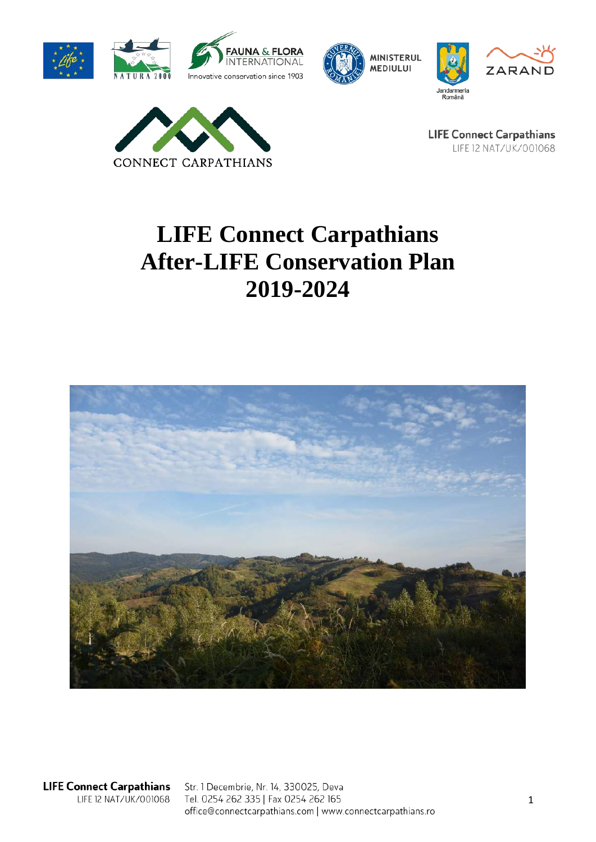







**LIFE Connect Carpathians** LIFE 12 NAT/UK/001068

# **LIFE Connect Carpathians After-LIFE Conservation Plan 2019-2024**



**LIFE Connect Carpathians** LIFE 12 NAT/UK/001068

Str. 1 Decembrie, Nr. 14, 330025, Deva Tel. 0254 262 335 | Fax 0254 262 165 office@connectcarpathians.com | www.connectcarpathians.ro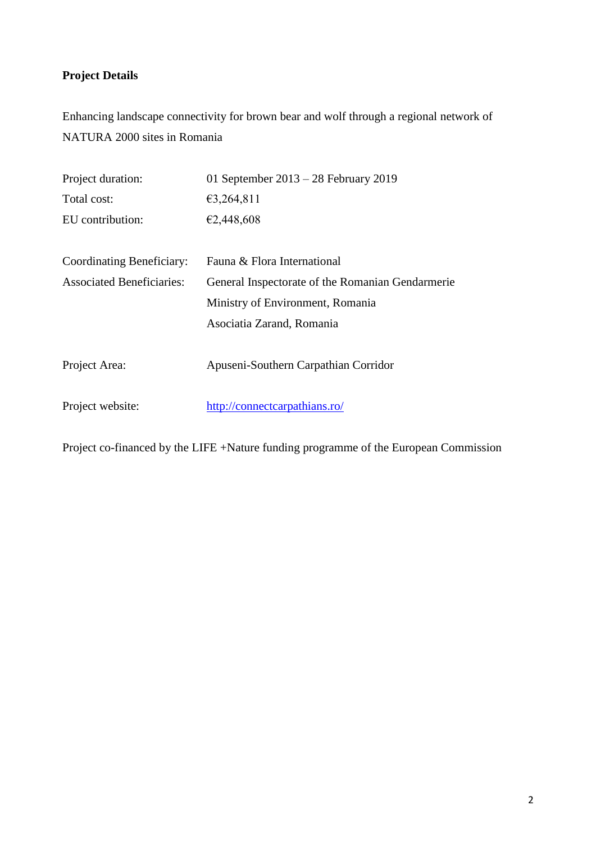## **Project Details**

Enhancing landscape connectivity for brown bear and wolf through a regional network of NATURA 2000 sites in Romania

| Project duration:                                                                    | 01 September $2013 - 28$ February 2019 |  |
|--------------------------------------------------------------------------------------|----------------------------------------|--|
| Total cost:                                                                          | €3,264,811                             |  |
| EU contribution:                                                                     | €2,448,608                             |  |
|                                                                                      |                                        |  |
| Coordinating Beneficiary:                                                            | Fauna & Flora International            |  |
| <b>Associated Beneficiaries:</b><br>General Inspectorate of the Romanian Gendarmerie |                                        |  |
|                                                                                      | Ministry of Environment, Romania       |  |
|                                                                                      | Asociatia Zarand, Romania              |  |
|                                                                                      |                                        |  |
| Project Area:                                                                        | Apuseni-Southern Carpathian Corridor   |  |
|                                                                                      |                                        |  |
| Project website:                                                                     | http://connectcarpathians.ro/          |  |

Project co-financed by the LIFE +Nature funding programme of the European Commission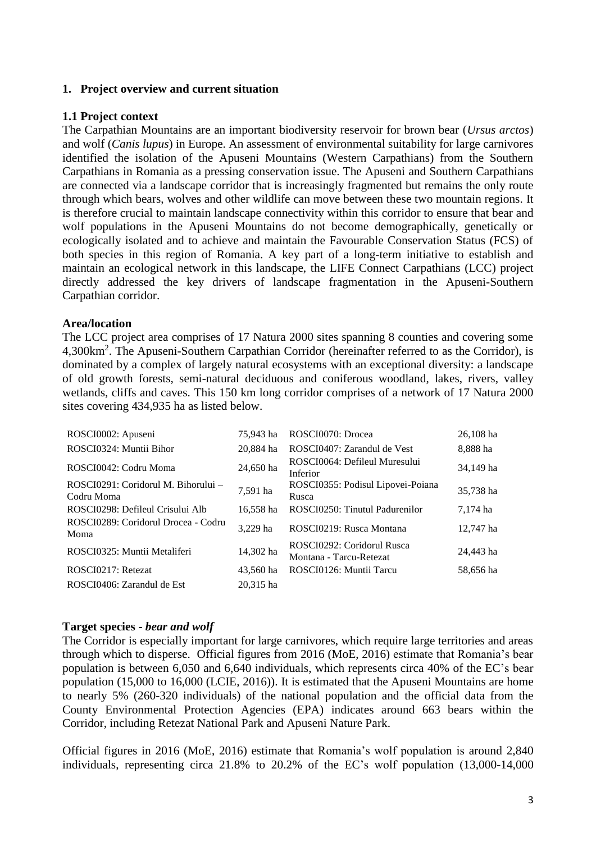#### **1. Project overview and current situation**

#### **1.1 Project context**

The Carpathian Mountains are an important biodiversity reservoir for brown bear (*Ursus arctos*) and wolf (*Canis lupus*) in Europe. An assessment of environmental suitability for large carnivores identified the isolation of the Apuseni Mountains (Western Carpathians) from the Southern Carpathians in Romania as a pressing conservation issue. The Apuseni and Southern Carpathians are connected via a landscape corridor that is increasingly fragmented but remains the only route through which bears, wolves and other wildlife can move between these two mountain regions. It is therefore crucial to maintain landscape connectivity within this corridor to ensure that bear and wolf populations in the Apuseni Mountains do not become demographically, genetically or ecologically isolated and to achieve and maintain the Favourable Conservation Status (FCS) of both species in this region of Romania. A key part of a long-term initiative to establish and maintain an ecological network in this landscape, the LIFE Connect Carpathians (LCC) project directly addressed the key drivers of landscape fragmentation in the Apuseni-Southern Carpathian corridor.

#### **Area/location**

The LCC project area comprises of 17 Natura 2000 sites spanning 8 counties and covering some 4,300km<sup>2</sup> . The Apuseni-Southern Carpathian Corridor (hereinafter referred to as the Corridor), is dominated by a complex of largely natural ecosystems with an exceptional diversity: a landscape of old growth forests, semi-natural deciduous and coniferous woodland, lakes, rivers, valley wetlands, cliffs and caves. This 150 km long corridor comprises of a network of 17 Natura 2000 sites covering 434,935 ha as listed below.

| ROSCI0002: Apuseni                                | 75.943 ha | ROSCI0070: Drocea                                     | 26,108 ha |
|---------------------------------------------------|-----------|-------------------------------------------------------|-----------|
| ROSCI0324: Muntii Bihor                           | 20.884 ha | ROSCI0407: Zarandul de Vest                           | 8,888 ha  |
| ROSCI0042: Codru Moma                             | 24,650 ha | ROSCI0064: Defileul Muresului<br>Inferior             | 34,149 ha |
| ROSCI0291: Coridorul M. Bihorului –<br>Codru Moma | 7,591 ha  | ROSCI0355: Podisul Lipovei-Poiana<br>Rusca            | 35.738 ha |
| ROSCI0298: Defileul Crisului Alb                  | 16,558 ha | ROSCI0250: Tinutul Padurenilor                        | 7,174 ha  |
| ROSCI0289: Coridorul Drocea - Codru<br>Moma       | 3.229 ha  | ROSCI0219: Rusca Montana                              | 12,747 ha |
| ROSCI0325: Muntii Metaliferi                      | 14,302 ha | ROSCI0292: Coridorul Rusca<br>Montana - Tarcu-Retezat | 24.443 ha |
| ROSCI0217: Retezat                                | 43.560 ha | ROSCI0126: Muntii Tarcu                               | 58,656 ha |
| ROSCI0406: Zarandul de Est                        | 20.315 ha |                                                       |           |

#### **Target species -** *bear and wolf*

The Corridor is especially important for large carnivores, which require large territories and areas through which to disperse. Official figures from 2016 (MoE, 2016) estimate that Romania's bear population is between 6,050 and 6,640 individuals, which represents circa 40% of the EC's bear population (15,000 to 16,000 (LCIE, 2016)). It is estimated that the Apuseni Mountains are home to nearly 5% (260-320 individuals) of the national population and the official data from the County Environmental Protection Agencies (EPA) indicates around 663 bears within the Corridor, including Retezat National Park and Apuseni Nature Park.

Official figures in 2016 (MoE, 2016) estimate that Romania's wolf population is around 2,840 individuals, representing circa 21.8% to 20.2% of the EC's wolf population (13,000-14,000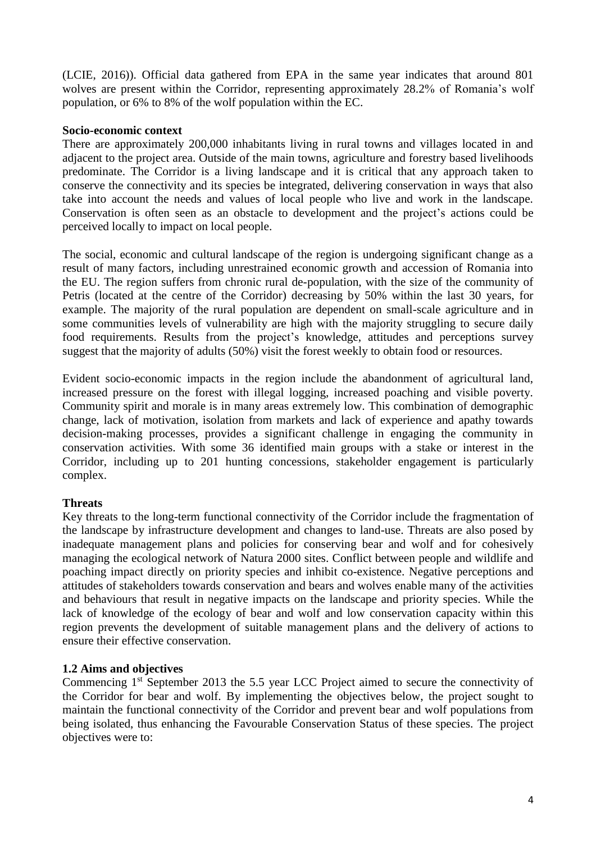(LCIE, 2016)). Official data gathered from EPA in the same year indicates that around 801 wolves are present within the Corridor, representing approximately 28.2% of Romania's wolf population, or 6% to 8% of the wolf population within the EC.

#### **Socio-economic context**

There are approximately 200,000 inhabitants living in rural towns and villages located in and adjacent to the project area. Outside of the main towns, agriculture and forestry based livelihoods predominate. The Corridor is a living landscape and it is critical that any approach taken to conserve the connectivity and its species be integrated, delivering conservation in ways that also take into account the needs and values of local people who live and work in the landscape. Conservation is often seen as an obstacle to development and the project's actions could be perceived locally to impact on local people.

The social, economic and cultural landscape of the region is undergoing significant change as a result of many factors, including unrestrained economic growth and accession of Romania into the EU. The region suffers from chronic rural de-population, with the size of the community of Petris (located at the centre of the Corridor) decreasing by 50% within the last 30 years, for example. The majority of the rural population are dependent on small-scale agriculture and in some communities levels of vulnerability are high with the majority struggling to secure daily food requirements. Results from the project's knowledge, attitudes and perceptions survey suggest that the majority of adults (50%) visit the forest weekly to obtain food or resources.

Evident socio-economic impacts in the region include the abandonment of agricultural land, increased pressure on the forest with illegal logging, increased poaching and visible poverty. Community spirit and morale is in many areas extremely low. This combination of demographic change, lack of motivation, isolation from markets and lack of experience and apathy towards decision-making processes, provides a significant challenge in engaging the community in conservation activities. With some 36 identified main groups with a stake or interest in the Corridor, including up to 201 hunting concessions, stakeholder engagement is particularly complex.

#### **Threats**

Key threats to the long-term functional connectivity of the Corridor include the fragmentation of the landscape by infrastructure development and changes to land-use. Threats are also posed by inadequate management plans and policies for conserving bear and wolf and for cohesively managing the ecological network of Natura 2000 sites. Conflict between people and wildlife and poaching impact directly on priority species and inhibit co-existence. Negative perceptions and attitudes of stakeholders towards conservation and bears and wolves enable many of the activities and behaviours that result in negative impacts on the landscape and priority species. While the lack of knowledge of the ecology of bear and wolf and low conservation capacity within this region prevents the development of suitable management plans and the delivery of actions to ensure their effective conservation.

#### **1.2 Aims and objectives**

Commencing 1<sup>st</sup> September 2013 the 5.5 year LCC Project aimed to secure the connectivity of the Corridor for bear and wolf. By implementing the objectives below, the project sought to maintain the functional connectivity of the Corridor and prevent bear and wolf populations from being isolated, thus enhancing the Favourable Conservation Status of these species. The project objectives were to: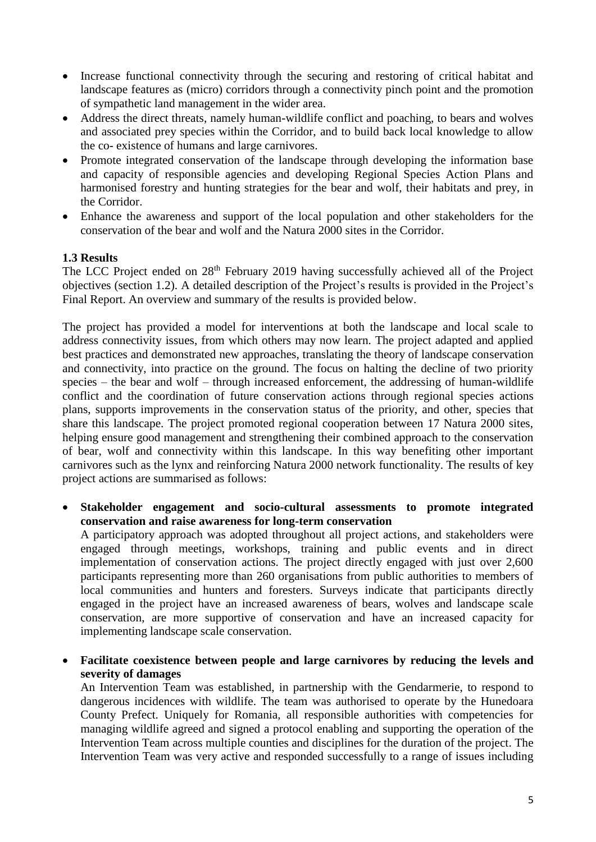- Increase functional connectivity through the securing and restoring of critical habitat and landscape features as (micro) corridors through a connectivity pinch point and the promotion of sympathetic land management in the wider area.
- Address the direct threats, namely human-wildlife conflict and poaching, to bears and wolves and associated prey species within the Corridor, and to build back local knowledge to allow the co- existence of humans and large carnivores.
- Promote integrated conservation of the landscape through developing the information base and capacity of responsible agencies and developing Regional Species Action Plans and harmonised forestry and hunting strategies for the bear and wolf, their habitats and prey, in the Corridor.
- Enhance the awareness and support of the local population and other stakeholders for the conservation of the bear and wolf and the Natura 2000 sites in the Corridor.

#### **1.3 Results**

The LCC Project ended on 28<sup>th</sup> February 2019 having successfully achieved all of the Project objectives (section 1.2). A detailed description of the Project's results is provided in the Project's Final Report. An overview and summary of the results is provided below.

The project has provided a model for interventions at both the landscape and local scale to address connectivity issues, from which others may now learn. The project adapted and applied best practices and demonstrated new approaches, translating the theory of landscape conservation and connectivity, into practice on the ground. The focus on halting the decline of two priority species – the bear and wolf – through increased enforcement, the addressing of human-wildlife conflict and the coordination of future conservation actions through regional species actions plans, supports improvements in the conservation status of the priority, and other, species that share this landscape. The project promoted regional cooperation between 17 Natura 2000 sites, helping ensure good management and strengthening their combined approach to the conservation of bear, wolf and connectivity within this landscape. In this way benefiting other important carnivores such as the lynx and reinforcing Natura 2000 network functionality. The results of key project actions are summarised as follows:

 **Stakeholder engagement and socio-cultural assessments to promote integrated conservation and raise awareness for long-term conservation** 

A participatory approach was adopted throughout all project actions, and stakeholders were engaged through meetings, workshops, training and public events and in direct implementation of conservation actions. The project directly engaged with just over 2,600 participants representing more than 260 organisations from public authorities to members of local communities and hunters and foresters. Surveys indicate that participants directly engaged in the project have an increased awareness of bears, wolves and landscape scale conservation, are more supportive of conservation and have an increased capacity for implementing landscape scale conservation.

 **Facilitate coexistence between people and large carnivores by reducing the levels and severity of damages**

An Intervention Team was established, in partnership with the Gendarmerie, to respond to dangerous incidences with wildlife. The team was authorised to operate by the Hunedoara County Prefect. Uniquely for Romania, all responsible authorities with competencies for managing wildlife agreed and signed a protocol enabling and supporting the operation of the Intervention Team across multiple counties and disciplines for the duration of the project. The Intervention Team was very active and responded successfully to a range of issues including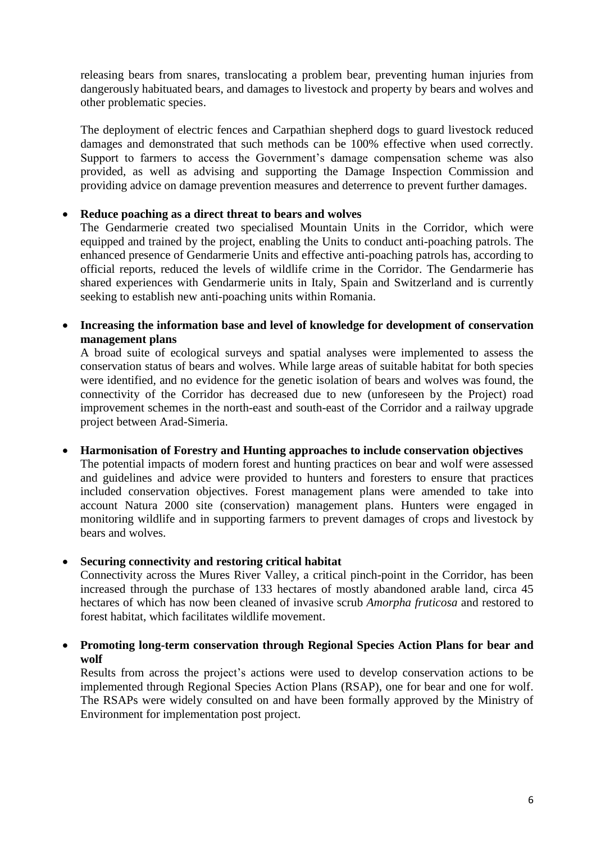releasing bears from snares, translocating a problem bear, preventing human injuries from dangerously habituated bears, and damages to livestock and property by bears and wolves and other problematic species.

The deployment of electric fences and Carpathian shepherd dogs to guard livestock reduced damages and demonstrated that such methods can be 100% effective when used correctly. Support to farmers to access the Government's damage compensation scheme was also provided, as well as advising and supporting the Damage Inspection Commission and providing advice on damage prevention measures and deterrence to prevent further damages.

#### **Reduce poaching as a direct threat to bears and wolves**

The Gendarmerie created two specialised Mountain Units in the Corridor, which were equipped and trained by the project, enabling the Units to conduct anti-poaching patrols. The enhanced presence of Gendarmerie Units and effective anti-poaching patrols has, according to official reports, reduced the levels of wildlife crime in the Corridor. The Gendarmerie has shared experiences with Gendarmerie units in Italy, Spain and Switzerland and is currently seeking to establish new anti-poaching units within Romania.

#### **Increasing the information base and level of knowledge for development of conservation management plans**

A broad suite of ecological surveys and spatial analyses were implemented to assess the conservation status of bears and wolves. While large areas of suitable habitat for both species were identified, and no evidence for the genetic isolation of bears and wolves was found, the connectivity of the Corridor has decreased due to new (unforeseen by the Project) road improvement schemes in the north-east and south-east of the Corridor and a railway upgrade project between Arad-Simeria.

#### **Harmonisation of Forestry and Hunting approaches to include conservation objectives**

The potential impacts of modern forest and hunting practices on bear and wolf were assessed and guidelines and advice were provided to hunters and foresters to ensure that practices included conservation objectives. Forest management plans were amended to take into account Natura 2000 site (conservation) management plans. Hunters were engaged in monitoring wildlife and in supporting farmers to prevent damages of crops and livestock by bears and wolves.

#### **Securing connectivity and restoring critical habitat**

Connectivity across the Mures River Valley, a critical pinch-point in the Corridor, has been increased through the purchase of 133 hectares of mostly abandoned arable land, circa 45 hectares of which has now been cleaned of invasive scrub *Amorpha fruticosa* and restored to forest habitat, which facilitates wildlife movement.

#### **Promoting long-term conservation through Regional Species Action Plans for bear and wolf**

Results from across the project's actions were used to develop conservation actions to be implemented through Regional Species Action Plans (RSAP), one for bear and one for wolf. The RSAPs were widely consulted on and have been formally approved by the Ministry of Environment for implementation post project.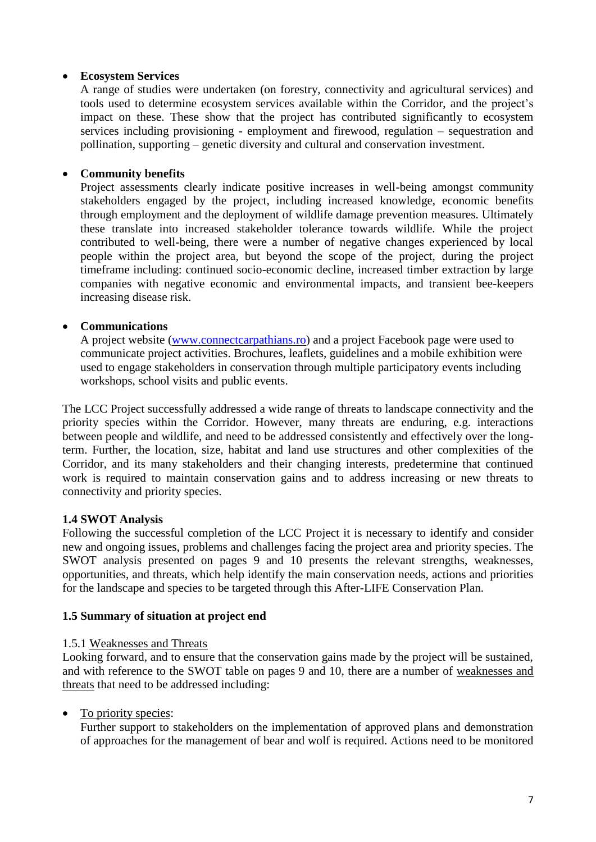#### **Ecosystem Services**

A range of studies were undertaken (on forestry, connectivity and agricultural services) and tools used to determine ecosystem services available within the Corridor, and the project's impact on these. These show that the project has contributed significantly to ecosystem services including provisioning - employment and firewood, regulation – sequestration and pollination, supporting – genetic diversity and cultural and conservation investment.

#### **Community benefits**

Project assessments clearly indicate positive increases in well-being amongst community stakeholders engaged by the project*,* including increased knowledge, economic benefits through employment and the deployment of wildlife damage prevention measures. Ultimately these translate into increased stakeholder tolerance towards wildlife. While the project contributed to well-being, there were a number of negative changes experienced by local people within the project area, but beyond the scope of the project, during the project timeframe including: continued socio-economic decline, increased timber extraction by large companies with negative economic and environmental impacts, and transient bee-keepers increasing disease risk.

#### **Communications**

A project website [\(www.connectcarpathians.ro\)](http://www.connectcarpathians.ro/) and a project Facebook page were used to communicate project activities. Brochures, leaflets, guidelines and a mobile exhibition were used to engage stakeholders in conservation through multiple participatory events including workshops, school visits and public events.

The LCC Project successfully addressed a wide range of threats to landscape connectivity and the priority species within the Corridor. However, many threats are enduring, e.g. interactions between people and wildlife, and need to be addressed consistently and effectively over the longterm. Further, the location, size, habitat and land use structures and other complexities of the Corridor, and its many stakeholders and their changing interests, predetermine that continued work is required to maintain conservation gains and to address increasing or new threats to connectivity and priority species.

#### **1.4 SWOT Analysis**

Following the successful completion of the LCC Project it is necessary to identify and consider new and ongoing issues, problems and challenges facing the project area and priority species. The SWOT analysis presented on pages 9 and 10 presents the relevant strengths, weaknesses, opportunities, and threats, which help identify the main conservation needs, actions and priorities for the landscape and species to be targeted through this After-LIFE Conservation Plan.

#### **1.5 Summary of situation at project end**

#### 1.5.1 Weaknesses and Threats

Looking forward, and to ensure that the conservation gains made by the project will be sustained, and with reference to the SWOT table on pages 9 and 10, there are a number of weaknesses and threats that need to be addressed including:

#### • To priority species:

Further support to stakeholders on the implementation of approved plans and demonstration of approaches for the management of bear and wolf is required. Actions need to be monitored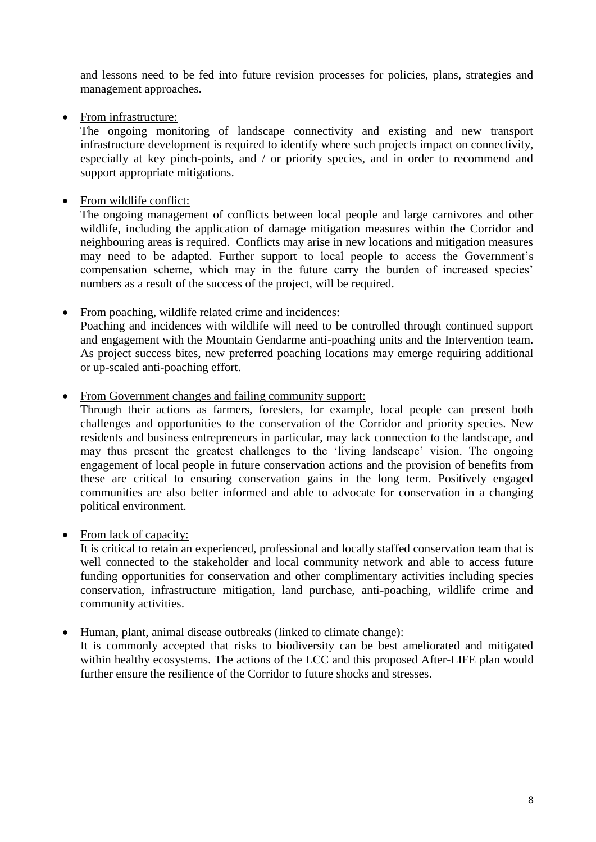and lessons need to be fed into future revision processes for policies, plans, strategies and management approaches.

• From infrastructure:

The ongoing monitoring of landscape connectivity and existing and new transport infrastructure development is required to identify where such projects impact on connectivity, especially at key pinch-points, and / or priority species, and in order to recommend and support appropriate mitigations.

• From wildlife conflict:

The ongoing management of conflicts between local people and large carnivores and other wildlife, including the application of damage mitigation measures within the Corridor and neighbouring areas is required. Conflicts may arise in new locations and mitigation measures may need to be adapted. Further support to local people to access the Government's compensation scheme, which may in the future carry the burden of increased species' numbers as a result of the success of the project, will be required.

• From poaching, wildlife related crime and incidences:

Poaching and incidences with wildlife will need to be controlled through continued support and engagement with the Mountain Gendarme anti-poaching units and the Intervention team. As project success bites, new preferred poaching locations may emerge requiring additional or up-scaled anti-poaching effort.

• From Government changes and failing community support:

Through their actions as farmers, foresters, for example, local people can present both challenges and opportunities to the conservation of the Corridor and priority species. New residents and business entrepreneurs in particular, may lack connection to the landscape, and may thus present the greatest challenges to the 'living landscape' vision. The ongoing engagement of local people in future conservation actions and the provision of benefits from these are critical to ensuring conservation gains in the long term. Positively engaged communities are also better informed and able to advocate for conservation in a changing political environment.

• From lack of capacity:

It is critical to retain an experienced, professional and locally staffed conservation team that is well connected to the stakeholder and local community network and able to access future funding opportunities for conservation and other complimentary activities including species conservation, infrastructure mitigation, land purchase, anti-poaching, wildlife crime and community activities.

Human, plant, animal disease outbreaks (linked to climate change):

It is commonly accepted that risks to biodiversity can be best ameliorated and mitigated within healthy ecosystems. The actions of the LCC and this proposed After-LIFE plan would further ensure the resilience of the Corridor to future shocks and stresses.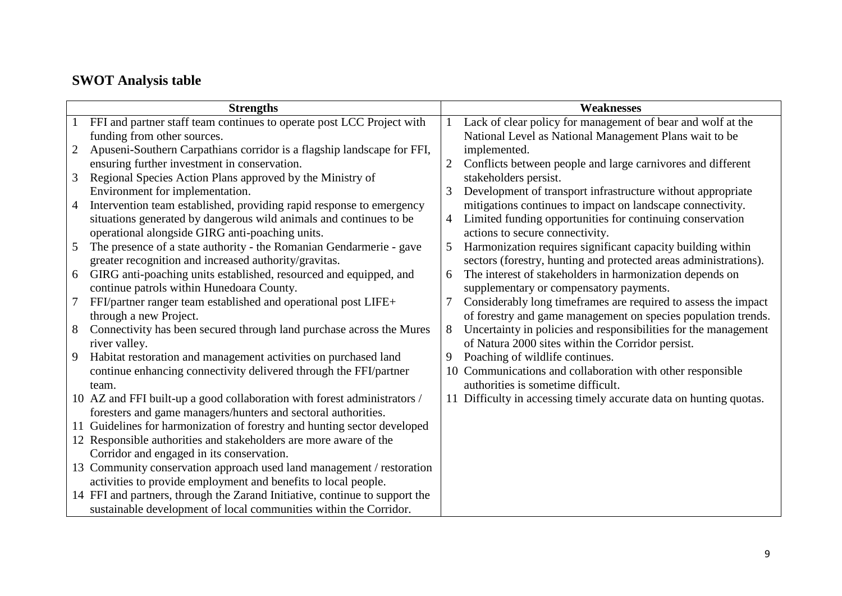# **SWOT Analysis table**

|    | <b>Strengths</b>                                                            |                | <b>Weaknesses</b>                                                  |
|----|-----------------------------------------------------------------------------|----------------|--------------------------------------------------------------------|
|    | FFI and partner staff team continues to operate post LCC Project with       |                | Lack of clear policy for management of bear and wolf at the        |
|    | funding from other sources.                                                 |                | National Level as National Management Plans wait to be             |
| 2  | Apuseni-Southern Carpathians corridor is a flagship landscape for FFI,      |                | implemented.                                                       |
|    | ensuring further investment in conservation.                                | $\overline{2}$ | Conflicts between people and large carnivores and different        |
| 3  | Regional Species Action Plans approved by the Ministry of                   |                | stakeholders persist.                                              |
|    | Environment for implementation.                                             | 3              | Development of transport infrastructure without appropriate        |
| 4  | Intervention team established, providing rapid response to emergency        |                | mitigations continues to impact on landscape connectivity.         |
|    | situations generated by dangerous wild animals and continues to be          | 4              | Limited funding opportunities for continuing conservation          |
|    | operational alongside GIRG anti-poaching units.                             |                | actions to secure connectivity.                                    |
| 5  | The presence of a state authority - the Romanian Gendarmerie - gave         | 5              | Harmonization requires significant capacity building within        |
|    | greater recognition and increased authority/gravitas.                       |                | sectors (forestry, hunting and protected areas administrations).   |
| 6  | GIRG anti-poaching units established, resourced and equipped, and           | 6              | The interest of stakeholders in harmonization depends on           |
|    | continue patrols within Hunedoara County.                                   |                | supplementary or compensatory payments.                            |
| 7  | FFI/partner ranger team established and operational post LIFE+              | 7              | Considerably long timeframes are required to assess the impact     |
|    | through a new Project.                                                      |                | of forestry and game management on species population trends.      |
| 8  | Connectivity has been secured through land purchase across the Mures        | 8              | Uncertainty in policies and responsibilities for the management    |
|    | river valley.                                                               |                | of Natura 2000 sites within the Corridor persist.                  |
| 9  | Habitat restoration and management activities on purchased land             | 9              | Poaching of wildlife continues.                                    |
|    | continue enhancing connectivity delivered through the FFI/partner           | 10             | Communications and collaboration with other responsible            |
|    | team.                                                                       |                | authorities is sometime difficult.                                 |
|    | 10 AZ and FFI built-up a good collaboration with forest administrators /    |                | 11 Difficulty in accessing timely accurate data on hunting quotas. |
|    | foresters and game managers/hunters and sectoral authorities.               |                |                                                                    |
| 11 | Guidelines for harmonization of forestry and hunting sector developed       |                |                                                                    |
|    | 12 Responsible authorities and stakeholders are more aware of the           |                |                                                                    |
|    | Corridor and engaged in its conservation.                                   |                |                                                                    |
|    | 13 Community conservation approach used land management / restoration       |                |                                                                    |
|    | activities to provide employment and benefits to local people.              |                |                                                                    |
|    | 14 FFI and partners, through the Zarand Initiative, continue to support the |                |                                                                    |
|    | sustainable development of local communities within the Corridor.           |                |                                                                    |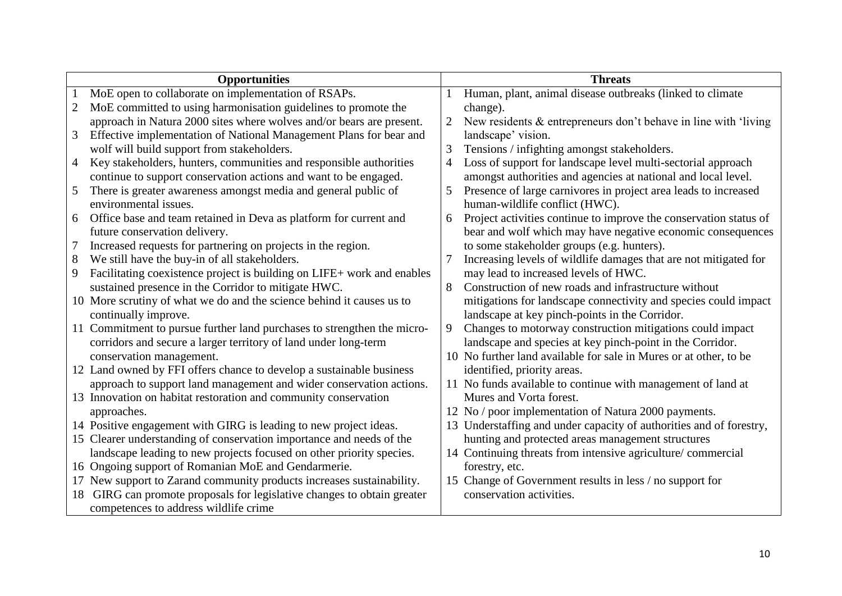|                | <b>Opportunities</b>                                                    |                | <b>Threats</b>                                                      |
|----------------|-------------------------------------------------------------------------|----------------|---------------------------------------------------------------------|
|                | MoE open to collaborate on implementation of RSAPs.                     |                | Human, plant, animal disease outbreaks (linked to climate           |
| 2              | MoE committed to using harmonisation guidelines to promote the          |                | change).                                                            |
|                | approach in Natura 2000 sites where wolves and/or bears are present.    | 2              | New residents $&$ entrepreneurs don't behave in line with 'living   |
| 3              | Effective implementation of National Management Plans for bear and      |                | landscape' vision.                                                  |
|                | wolf will build support from stakeholders.                              | 3              | Tensions / infighting amongst stakeholders.                         |
| $\overline{4}$ | Key stakeholders, hunters, communities and responsible authorities      | $\overline{4}$ | Loss of support for landscape level multi-sectorial approach        |
|                | continue to support conservation actions and want to be engaged.        |                | amongst authorities and agencies at national and local level.       |
| 5              | There is greater awareness amongst media and general public of          | 5              | Presence of large carnivores in project area leads to increased     |
|                | environmental issues.                                                   |                | human-wildlife conflict (HWC).                                      |
| 6              | Office base and team retained in Deva as platform for current and       | 6              | Project activities continue to improve the conservation status of   |
|                | future conservation delivery.                                           |                | bear and wolf which may have negative economic consequences         |
| 7              | Increased requests for partnering on projects in the region.            |                | to some stakeholder groups (e.g. hunters).                          |
| 8              | We still have the buy-in of all stakeholders.                           | 7              | Increasing levels of wildlife damages that are not mitigated for    |
| 9              | Facilitating coexistence project is building on LIFE+ work and enables  |                | may lead to increased levels of HWC.                                |
|                | sustained presence in the Corridor to mitigate HWC.                     | 8              | Construction of new roads and infrastructure without                |
|                | 10 More scrutiny of what we do and the science behind it causes us to   |                | mitigations for landscape connectivity and species could impact     |
|                | continually improve.                                                    |                | landscape at key pinch-points in the Corridor.                      |
|                | 11 Commitment to pursue further land purchases to strengthen the micro- | 9              | Changes to motorway construction mitigations could impact           |
|                | corridors and secure a larger territory of land under long-term         |                | landscape and species at key pinch-point in the Corridor.           |
|                | conservation management.                                                |                | 10 No further land available for sale in Mures or at other, to be   |
|                | 12 Land owned by FFI offers chance to develop a sustainable business    |                | identified, priority areas.                                         |
|                | approach to support land management and wider conservation actions.     |                | 11 No funds available to continue with management of land at        |
|                | 13 Innovation on habitat restoration and community conservation         |                | Mures and Vorta forest.                                             |
|                | approaches.                                                             |                | 12 No / poor implementation of Natura 2000 payments.                |
|                | 14 Positive engagement with GIRG is leading to new project ideas.       |                | 13 Understaffing and under capacity of authorities and of forestry, |
|                | 15 Clearer understanding of conservation importance and needs of the    |                | hunting and protected areas management structures                   |
|                | landscape leading to new projects focused on other priority species.    |                | 14 Continuing threats from intensive agriculture/commercial         |
|                | 16 Ongoing support of Romanian MoE and Gendarmerie.                     |                | forestry, etc.                                                      |
|                | 17 New support to Zarand community products increases sustainability.   |                | 15 Change of Government results in less / no support for            |
| 18             | GIRG can promote proposals for legislative changes to obtain greater    |                | conservation activities.                                            |
|                | competences to address wildlife crime                                   |                |                                                                     |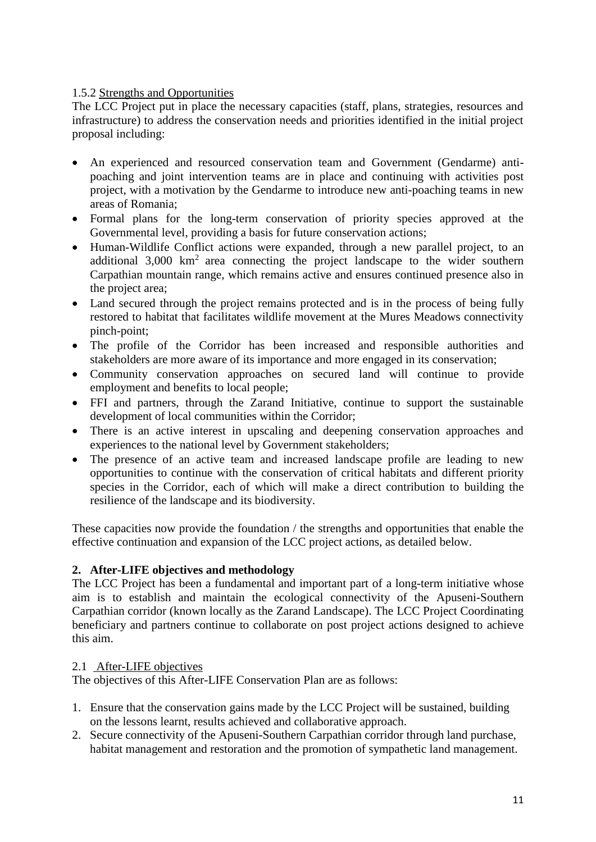#### 1.5.2 Strengths and Opportunities

The LCC Project put in place the necessary capacities (staff, plans, strategies, resources and infrastructure) to address the conservation needs and priorities identified in the initial project proposal including:

- An experienced and resourced conservation team and Government (Gendarme) antipoaching and joint intervention teams are in place and continuing with activities post project, with a motivation by the Gendarme to introduce new anti-poaching teams in new areas of Romania;
- Formal plans for the long-term conservation of priority species approved at the Governmental level, providing a basis for future conservation actions;
- Human-Wildlife Conflict actions were expanded, through a new parallel project, to an additional  $3,000 \text{ km}^2$  area connecting the project landscape to the wider southern Carpathian mountain range, which remains active and ensures continued presence also in the project area;
- Land secured through the project remains protected and is in the process of being fully restored to habitat that facilitates wildlife movement at the Mures Meadows connectivity pinch-point;
- The profile of the Corridor has been increased and responsible authorities and stakeholders are more aware of its importance and more engaged in its conservation;
- Community conservation approaches on secured land will continue to provide employment and benefits to local people;
- FFI and partners, through the Zarand Initiative, continue to support the sustainable development of local communities within the Corridor;
- There is an active interest in upscaling and deepening conservation approaches and experiences to the national level by Government stakeholders;
- The presence of an active team and increased landscape profile are leading to new opportunities to continue with the conservation of critical habitats and different priority species in the Corridor, each of which will make a direct contribution to building the resilience of the landscape and its biodiversity.

These capacities now provide the foundation / the strengths and opportunities that enable the effective continuation and expansion of the LCC project actions, as detailed below.

#### **2. After-LIFE objectives and methodology**

The LCC Project has been a fundamental and important part of a long-term initiative whose aim is to establish and maintain the ecological connectivity of the Apuseni-Southern Carpathian corridor (known locally as the Zarand Landscape). The LCC Project Coordinating beneficiary and partners continue to collaborate on post project actions designed to achieve this aim.

#### 2.1 After-LIFE objectives

The objectives of this After-LIFE Conservation Plan are as follows:

- 1. Ensure that the conservation gains made by the LCC Project will be sustained, building on the lessons learnt, results achieved and collaborative approach.
- 2. Secure connectivity of the Apuseni-Southern Carpathian corridor through land purchase, habitat management and restoration and the promotion of sympathetic land management.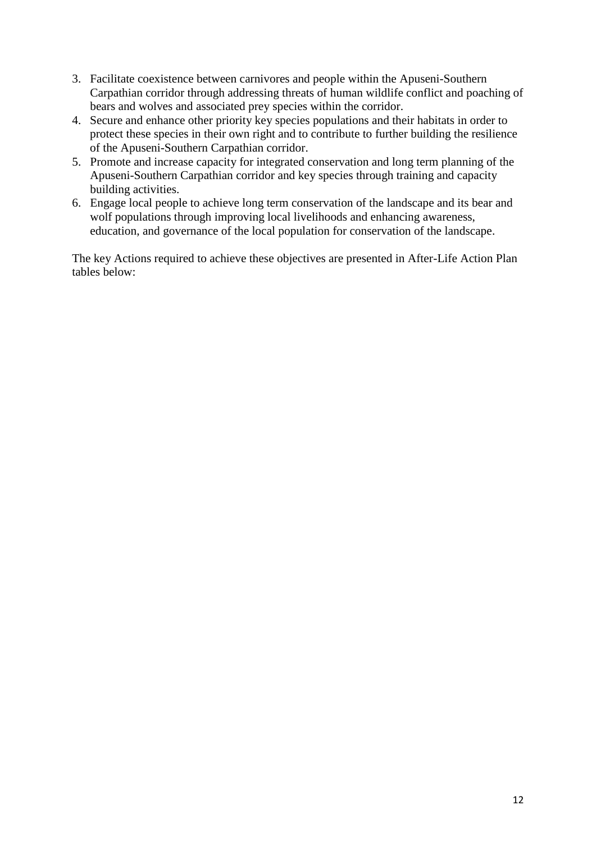- 3. Facilitate coexistence between carnivores and people within the Apuseni-Southern Carpathian corridor through addressing threats of human wildlife conflict and poaching of bears and wolves and associated prey species within the corridor.
- 4. Secure and enhance other priority key species populations and their habitats in order to protect these species in their own right and to contribute to further building the resilience of the Apuseni-Southern Carpathian corridor.
- 5. Promote and increase capacity for integrated conservation and long term planning of the Apuseni-Southern Carpathian corridor and key species through training and capacity building activities.
- 6. Engage local people to achieve long term conservation of the landscape and its bear and wolf populations through improving local livelihoods and enhancing awareness, education, and governance of the local population for conservation of the landscape.

The key Actions required to achieve these objectives are presented in After-Life Action Plan tables below: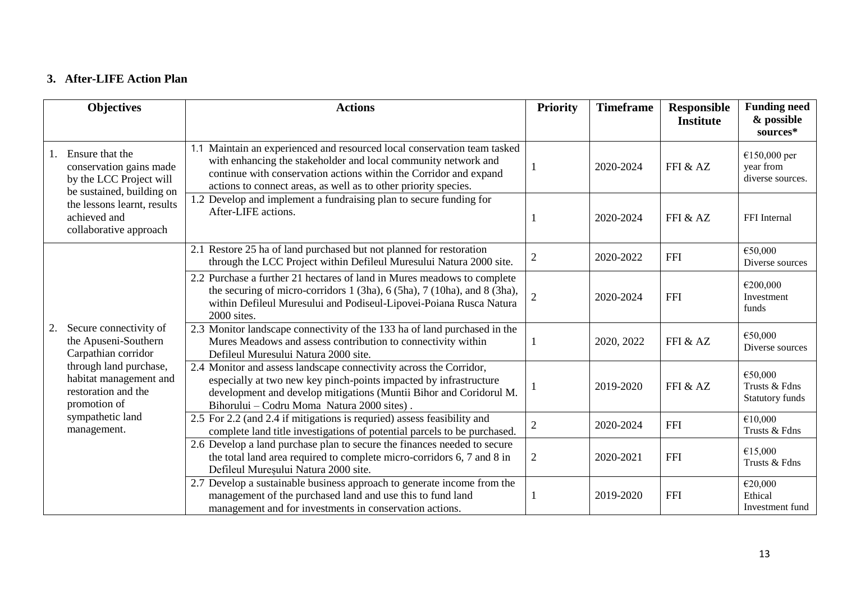### **3. After-LIFE Action Plan**

|              | <b>Objectives</b>                                                                                                                                                                                   | <b>Actions</b>                                                                                                                                                                                                                                                                     | <b>Priority</b> | <b>Timeframe</b> | Responsible<br><b>Institute</b> | <b>Funding need</b><br>& possible<br>sources*      |
|--------------|-----------------------------------------------------------------------------------------------------------------------------------------------------------------------------------------------------|------------------------------------------------------------------------------------------------------------------------------------------------------------------------------------------------------------------------------------------------------------------------------------|-----------------|------------------|---------------------------------|----------------------------------------------------|
|              | Ensure that the<br>conservation gains made<br>by the LCC Project will<br>be sustained, building on                                                                                                  | 1.1 Maintain an experienced and resourced local conservation team tasked<br>with enhancing the stakeholder and local community network and<br>continue with conservation actions within the Corridor and expand<br>actions to connect areas, as well as to other priority species. |                 | 2020-2024        | FFI & AZ                        | €150,000 per<br>year from<br>diverse sources.      |
| achieved and | the lessons learnt, results<br>collaborative approach                                                                                                                                               | 1.2 Develop and implement a fundraising plan to secure funding for<br>After-LIFE actions.                                                                                                                                                                                          |                 | 2020-2024        | FFI & AZ                        | FFI Internal                                       |
|              |                                                                                                                                                                                                     | 2.1 Restore 25 ha of land purchased but not planned for restoration<br>through the LCC Project within Defileul Muresului Natura 2000 site.                                                                                                                                         | $\overline{2}$  | 2020-2022        | <b>FFI</b>                      | €50,000<br>Diverse sources                         |
|              |                                                                                                                                                                                                     | 2.2 Purchase a further 21 hectares of land in Mures meadows to complete<br>the securing of micro-corridors 1 (3ha), 6 (5ha), 7 (10ha), and 8 (3ha),<br>within Defileul Muresului and Podiseul-Lipovei-Poiana Rusca Natura<br>2000 sites.                                           | $\overline{2}$  | 2020-2024        | <b>FFI</b>                      | €200,000<br>Investment<br>funds                    |
| 2.           | Secure connectivity of<br>the Apuseni-Southern<br>Carpathian corridor<br>through land purchase,<br>habitat management and<br>restoration and the<br>promotion of<br>sympathetic land<br>management. | 2.3 Monitor landscape connectivity of the 133 ha of land purchased in the<br>Mures Meadows and assess contribution to connectivity within<br>Defileul Muresului Natura 2000 site.                                                                                                  |                 | 2020, 2022       | FFI & AZ                        | €50,000<br>Diverse sources                         |
|              |                                                                                                                                                                                                     | 2.4 Monitor and assess landscape connectivity across the Corridor,<br>especially at two new key pinch-points impacted by infrastructure<br>development and develop mitigations (Muntii Bihor and Coridorul M.<br>Bihorului – Codru Moma Natura 2000 sites).                        |                 | 2019-2020        | FFI & AZ                        | €50,000<br>Trusts & Fdns<br><b>Statutory funds</b> |
|              |                                                                                                                                                                                                     | 2.5 For 2.2 (and 2.4 if mitigations is requried) assess feasibility and<br>complete land title investigations of potential parcels to be purchased.                                                                                                                                | $\mathbf{2}$    | 2020-2024        | <b>FFI</b>                      | €10,000<br>Trusts & Fdns                           |
|              |                                                                                                                                                                                                     | 2.6 Develop a land purchase plan to secure the finances needed to secure<br>the total land area required to complete micro-corridors 6, 7 and 8 in<br>Defileul Mureșului Natura 2000 site.                                                                                         | $\mathbf{2}$    | 2020-2021        | <b>FFI</b>                      | €15,000<br>Trusts & Fdns                           |
|              |                                                                                                                                                                                                     | 2.7 Develop a sustainable business approach to generate income from the<br>management of the purchased land and use this to fund land<br>management and for investments in conservation actions.                                                                                   |                 | 2019-2020        | <b>FFI</b>                      | €20,000<br>Ethical<br>Investment fund              |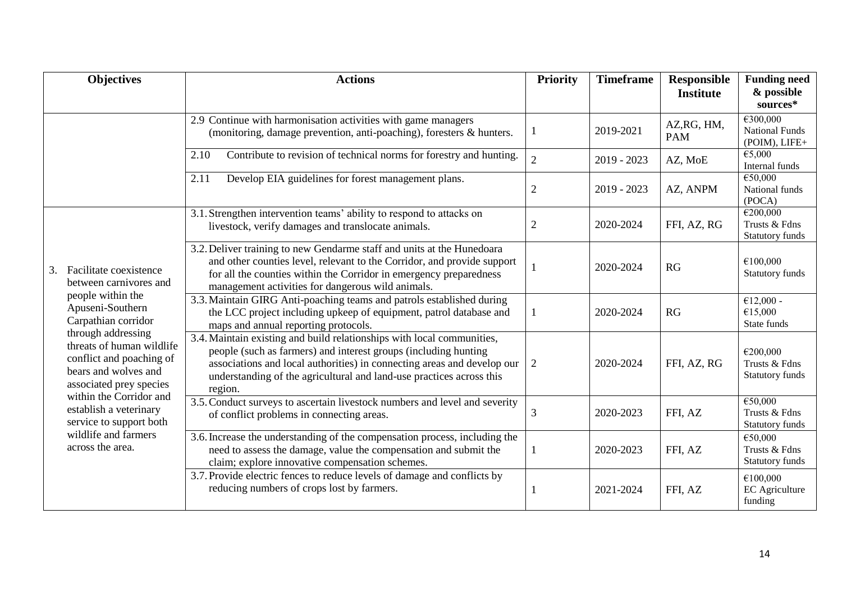|    | <b>Objectives</b>                                                                                                                                                                                                                                                                                                                                                              | <b>Actions</b>                                                                                                                                                                                                                                                                                          | Priority       | <b>Timeframe</b> | <b>Responsible</b><br><b>Institute</b> | <b>Funding need</b><br>& possible<br>sources*       |
|----|--------------------------------------------------------------------------------------------------------------------------------------------------------------------------------------------------------------------------------------------------------------------------------------------------------------------------------------------------------------------------------|---------------------------------------------------------------------------------------------------------------------------------------------------------------------------------------------------------------------------------------------------------------------------------------------------------|----------------|------------------|----------------------------------------|-----------------------------------------------------|
|    |                                                                                                                                                                                                                                                                                                                                                                                | 2.9 Continue with harmonisation activities with game managers<br>(monitoring, damage prevention, anti-poaching), foresters & hunters.                                                                                                                                                                   |                | 2019-2021        | AZ, RG, HM,<br><b>PAM</b>              | €300,000<br><b>National Funds</b><br>(POIM), LIFE+  |
|    |                                                                                                                                                                                                                                                                                                                                                                                | Contribute to revision of technical norms for forestry and hunting.<br>2.10                                                                                                                                                                                                                             | $\overline{2}$ | $2019 - 2023$    | AZ, MoE                                | $\overline{\epsilon}$ 5,000<br>Internal funds       |
|    |                                                                                                                                                                                                                                                                                                                                                                                | Develop EIA guidelines for forest management plans.<br>2.11                                                                                                                                                                                                                                             | $\overline{2}$ | 2019 - 2023      | AZ, ANPM                               | €50,000<br>National funds<br>(POCA)                 |
|    |                                                                                                                                                                                                                                                                                                                                                                                | 3.1. Strengthen intervention teams' ability to respond to attacks on<br>livestock, verify damages and translocate animals.                                                                                                                                                                              | $\mathfrak{2}$ | 2020-2024        | FFI, AZ, RG                            | E200,000<br>Trusts & Fdns<br>Statutory funds        |
| 3. | Facilitate coexistence<br>between carnivores and<br>people within the<br>Apuseni-Southern<br>Carpathian corridor<br>through addressing<br>threats of human wildlife<br>conflict and poaching of<br>bears and wolves and<br>associated prey species<br>within the Corridor and<br>establish a veterinary<br>service to support both<br>wildlife and farmers<br>across the area. | 3.2. Deliver training to new Gendarme staff and units at the Hunedoara<br>and other counties level, relevant to the Corridor, and provide support<br>for all the counties within the Corridor in emergency preparedness<br>management activities for dangerous wild animals.                            |                | 2020-2024        | RG                                     | €100,000<br>Statutory funds                         |
|    |                                                                                                                                                                                                                                                                                                                                                                                | 3.3. Maintain GIRG Anti-poaching teams and patrols established during<br>the LCC project including upkeep of equipment, patrol database and<br>maps and annual reporting protocols.                                                                                                                     | 1              | 2020-2024        | RG                                     | $€12,000 -$<br>€15,000<br>State funds               |
|    |                                                                                                                                                                                                                                                                                                                                                                                | 3.4. Maintain existing and build relationships with local communities,<br>people (such as farmers) and interest groups (including hunting<br>associations and local authorities) in connecting areas and develop our<br>understanding of the agricultural and land-use practices across this<br>region. | $\overline{2}$ | 2020-2024        | FFI, AZ, RG                            | €200,000<br>Trusts & Fdns<br><b>Statutory funds</b> |
|    |                                                                                                                                                                                                                                                                                                                                                                                | 3.5. Conduct surveys to ascertain livestock numbers and level and severity<br>of conflict problems in connecting areas.                                                                                                                                                                                 | 3              | 2020-2023        | FFI, AZ                                | €50,000<br>Trusts & Fdns<br><b>Statutory funds</b>  |
|    |                                                                                                                                                                                                                                                                                                                                                                                | 3.6. Increase the understanding of the compensation process, including the<br>need to assess the damage, value the compensation and submit the<br>claim; explore innovative compensation schemes.                                                                                                       | -1             | 2020-2023        | FFI, AZ                                | €50,000<br>Trusts & Fdns<br><b>Statutory funds</b>  |
|    |                                                                                                                                                                                                                                                                                                                                                                                | 3.7. Provide electric fences to reduce levels of damage and conflicts by<br>reducing numbers of crops lost by farmers.                                                                                                                                                                                  |                | 2021-2024        | FFI, AZ                                | €100,000<br><b>EC</b> Agriculture<br>funding        |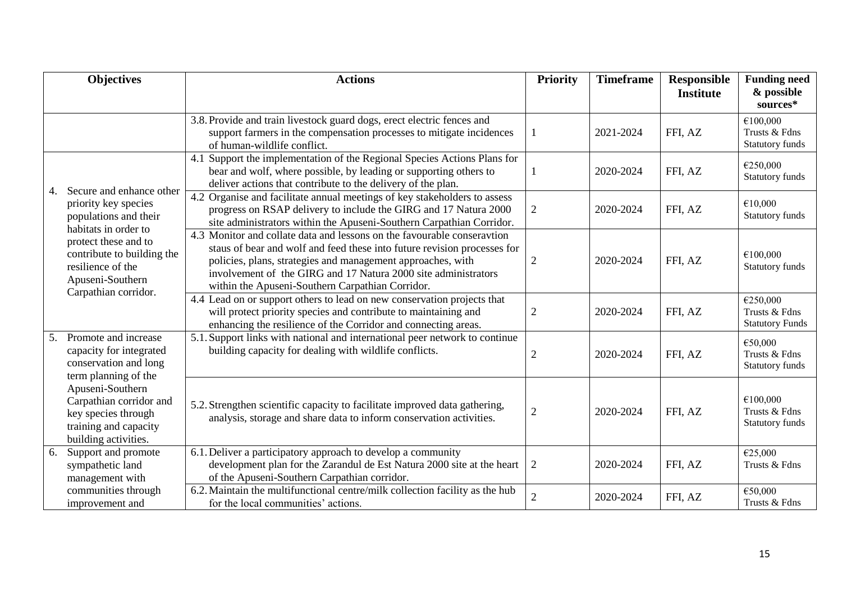|    | <b>Objectives</b>                                                                                                                                                                                | <b>Actions</b>                                                                                                                                                                                                                                                                                                                           | Priority       | <b>Timeframe</b> | <b>Responsible</b><br><b>Institute</b> | <b>Funding need</b><br>& possible<br>sources*       |
|----|--------------------------------------------------------------------------------------------------------------------------------------------------------------------------------------------------|------------------------------------------------------------------------------------------------------------------------------------------------------------------------------------------------------------------------------------------------------------------------------------------------------------------------------------------|----------------|------------------|----------------------------------------|-----------------------------------------------------|
|    |                                                                                                                                                                                                  | 3.8. Provide and train livestock guard dogs, erect electric fences and<br>support farmers in the compensation processes to mitigate incidences<br>of human-wildlife conflict.                                                                                                                                                            | 1              | 2021-2024        | FFI, AZ                                | €100,000<br>Trusts & Fdns<br>Statutory funds        |
| 4. | Secure and enhance other<br>priority key species<br>populations and their<br>habitats in order to<br>protect these and to<br>contribute to building the<br>resilience of the<br>Apuseni-Southern | 4.1 Support the implementation of the Regional Species Actions Plans for<br>bear and wolf, where possible, by leading or supporting others to<br>deliver actions that contribute to the delivery of the plan.                                                                                                                            | 1              | 2020-2024        | FFI, AZ                                | €250,000<br>Statutory funds                         |
|    |                                                                                                                                                                                                  | 4.2 Organise and facilitate annual meetings of key stakeholders to assess<br>progress on RSAP delivery to include the GIRG and 17 Natura 2000<br>site administrators within the Apuseni-Southern Carpathian Corridor.                                                                                                                    | $\overline{c}$ | 2020-2024        | FFI, AZ                                | €10,000<br>Statutory funds                          |
|    |                                                                                                                                                                                                  | 4.3 Monitor and collate data and lessons on the favourable conseravtion<br>staus of bear and wolf and feed these into future revision processes for<br>policies, plans, strategies and management approaches, with<br>involvement of the GIRG and 17 Natura 2000 site administrators<br>within the Apuseni-Southern Carpathian Corridor. | $\mathfrak{2}$ | 2020-2024        | FFI, AZ                                | €100,000<br><b>Statutory funds</b>                  |
|    | Carpathian corridor.                                                                                                                                                                             | 4.4 Lead on or support others to lead on new conservation projects that<br>will protect priority species and contribute to maintaining and<br>enhancing the resilience of the Corridor and connecting areas.                                                                                                                             | $\overline{2}$ | 2020-2024        | FFI, AZ                                | €250,000<br>Trusts & Fdns<br><b>Statutory Funds</b> |
| 5. | Promote and increase<br>capacity for integrated<br>conservation and long<br>term planning of the                                                                                                 | 5.1. Support links with national and international peer network to continue<br>building capacity for dealing with wildlife conflicts.                                                                                                                                                                                                    | $\mathfrak{2}$ | 2020-2024        | FFI, AZ                                | €50,000<br>Trusts & Fdns<br>Statutory funds         |
|    | Apuseni-Southern<br>Carpathian corridor and<br>key species through<br>training and capacity<br>building activities.                                                                              | 5.2. Strengthen scientific capacity to facilitate improved data gathering,<br>analysis, storage and share data to inform conservation activities.                                                                                                                                                                                        | $\overline{c}$ | 2020-2024        | FFI, AZ                                | €100,000<br>Trusts & Fdns<br>Statutory funds        |
| 6. | Support and promote<br>sympathetic land<br>management with                                                                                                                                       | 6.1. Deliver a participatory approach to develop a community<br>development plan for the Zarandul de Est Natura 2000 site at the heart<br>of the Apuseni-Southern Carpathian corridor.                                                                                                                                                   | $\sqrt{2}$     | 2020-2024        | FFI, AZ                                | €25,000<br>Trusts & Fdns                            |
|    | communities through<br>improvement and                                                                                                                                                           | 6.2. Maintain the multifunctional centre/milk collection facility as the hub<br>for the local communities' actions.                                                                                                                                                                                                                      | $\overline{2}$ | 2020-2024        | FFI, AZ                                | €50,000<br>Trusts & Fdns                            |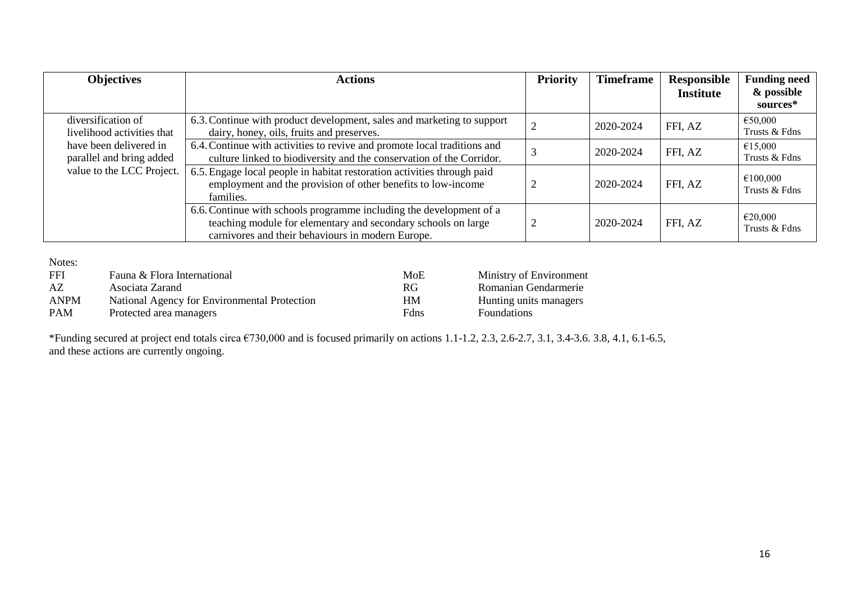| <b>Objectives</b>                                  | <b>Actions</b>                                                                                                                                                                            | <b>Priority</b> | <b>Timeframe</b> | Responsible<br><b>Institute</b> | <b>Funding need</b><br>& possible<br>sources* |
|----------------------------------------------------|-------------------------------------------------------------------------------------------------------------------------------------------------------------------------------------------|-----------------|------------------|---------------------------------|-----------------------------------------------|
| diversification of<br>livelihood activities that   | 6.3. Continue with product development, sales and marketing to support<br>dairy, honey, oils, fruits and preserves.                                                                       |                 | 2020-2024        | FFI, AZ                         | €50,000<br>Trusts & Fdns                      |
| have been delivered in<br>parallel and bring added | 6.4. Continue with activities to revive and promote local traditions and<br>culture linked to biodiversity and the conservation of the Corridor.                                          |                 | 2020-2024        | FFI, AZ                         | €15,000<br>Trusts & Fdns                      |
| value to the LCC Project.                          | 6.5. Engage local people in habitat restoration activities through paid<br>employment and the provision of other benefits to low-income<br>families.                                      |                 | 2020-2024        | FFI, AZ                         | €100,000<br>Trusts & Fdns                     |
|                                                    | 6.6. Continue with schools programme including the development of a<br>teaching module for elementary and secondary schools on large<br>carnivores and their behaviours in modern Europe. |                 | 2020-2024        | FFI, AZ                         | €20,000<br>Trusts & Fdns                      |

Notes:

| FFI         | Fauna & Flora International                  | MoE       | Ministry of Environment |
|-------------|----------------------------------------------|-----------|-------------------------|
| AZ          | Asociata Zarand                              | <b>RG</b> | Romanian Gendarmerie    |
| <b>ANPM</b> | National Agency for Environmental Protection | <b>HM</b> | Hunting units managers  |
| PAM         | Protected area managers                      | Fdns      | <b>Foundations</b>      |

\*Funding secured at project end totals circa €730,000 and is focused primarily on actions 1.1-1.2, 2.3, 2.6-2.7, 3.1, 3.4-3.6. 3.8, 4.1, 6.1-6.5, and these actions are currently ongoing.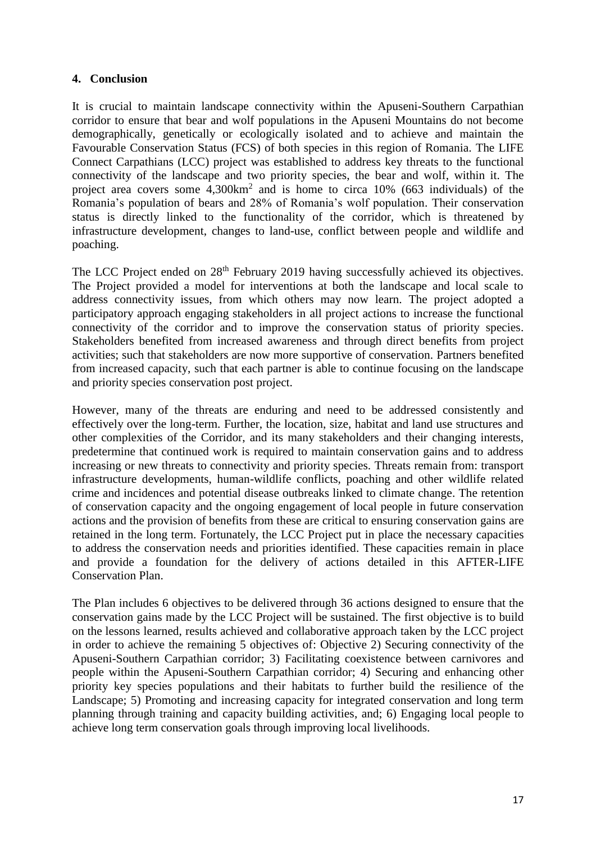#### **4. Conclusion**

It is crucial to maintain landscape connectivity within the Apuseni-Southern Carpathian corridor to ensure that bear and wolf populations in the Apuseni Mountains do not become demographically, genetically or ecologically isolated and to achieve and maintain the Favourable Conservation Status (FCS) of both species in this region of Romania. The LIFE Connect Carpathians (LCC) project was established to address key threats to the functional connectivity of the landscape and two priority species, the bear and wolf, within it. The project area covers some  $4,300 \text{km}^2$  and is home to circa 10% (663 individuals) of the Romania's population of bears and 28% of Romania's wolf population. Their conservation status is directly linked to the functionality of the corridor, which is threatened by infrastructure development, changes to land-use, conflict between people and wildlife and poaching.

The LCC Project ended on 28<sup>th</sup> February 2019 having successfully achieved its objectives. The Project provided a model for interventions at both the landscape and local scale to address connectivity issues, from which others may now learn. The project adopted a participatory approach engaging stakeholders in all project actions to increase the functional connectivity of the corridor and to improve the conservation status of priority species. Stakeholders benefited from increased awareness and through direct benefits from project activities; such that stakeholders are now more supportive of conservation. Partners benefited from increased capacity, such that each partner is able to continue focusing on the landscape and priority species conservation post project.

However, many of the threats are enduring and need to be addressed consistently and effectively over the long-term. Further, the location, size, habitat and land use structures and other complexities of the Corridor, and its many stakeholders and their changing interests, predetermine that continued work is required to maintain conservation gains and to address increasing or new threats to connectivity and priority species. Threats remain from: transport infrastructure developments, human-wildlife conflicts, poaching and other wildlife related crime and incidences and potential disease outbreaks linked to climate change. The retention of conservation capacity and the ongoing engagement of local people in future conservation actions and the provision of benefits from these are critical to ensuring conservation gains are retained in the long term. Fortunately, the LCC Project put in place the necessary capacities to address the conservation needs and priorities identified. These capacities remain in place and provide a foundation for the delivery of actions detailed in this AFTER-LIFE Conservation Plan.

The Plan includes 6 objectives to be delivered through 36 actions designed to ensure that the conservation gains made by the LCC Project will be sustained. The first objective is to build on the lessons learned, results achieved and collaborative approach taken by the LCC project in order to achieve the remaining 5 objectives of: Objective 2) Securing connectivity of the Apuseni-Southern Carpathian corridor; 3) Facilitating coexistence between carnivores and people within the Apuseni-Southern Carpathian corridor; 4) Securing and enhancing other priority key species populations and their habitats to further build the resilience of the Landscape; 5) Promoting and increasing capacity for integrated conservation and long term planning through training and capacity building activities, and; 6) Engaging local people to achieve long term conservation goals through improving local livelihoods.